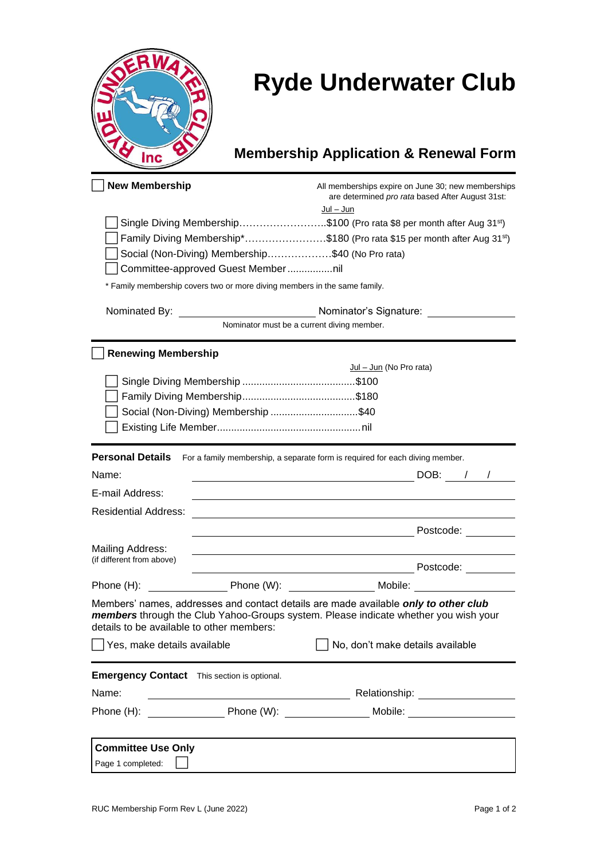| Q   |   |
|-----|---|
|     |   |
|     |   |
| Inc | ٠ |

## **Ryde Underwater Club**

## **Membership Application & Renewal Form**

| <b>New Membership</b>                              |                                                                                                                       | All memberships expire on June 30; new memberships<br>are determined pro rata based After August 31st:<br><u> Jul – Jun</u>                                                |
|----------------------------------------------------|-----------------------------------------------------------------------------------------------------------------------|----------------------------------------------------------------------------------------------------------------------------------------------------------------------------|
|                                                    |                                                                                                                       | Single Diving Membership\$100 (Pro rata \$8 per month after Aug 31 <sup>st</sup> )                                                                                         |
|                                                    |                                                                                                                       | Family Diving Membership*\$180 (Pro rata \$15 per month after Aug 31 <sup>st</sup> )                                                                                       |
|                                                    | Social (Non-Diving) Membership\$40 (No Pro rata)                                                                      |                                                                                                                                                                            |
|                                                    | Committee-approved Guest Membernil                                                                                    |                                                                                                                                                                            |
|                                                    | * Family membership covers two or more diving members in the same family.                                             |                                                                                                                                                                            |
|                                                    |                                                                                                                       | Nominator's Signature:                                                                                                                                                     |
|                                                    |                                                                                                                       | Nominator must be a current diving member.                                                                                                                                 |
| <b>Renewing Membership</b>                         |                                                                                                                       |                                                                                                                                                                            |
|                                                    |                                                                                                                       | Jul - Jun (No Pro rata)                                                                                                                                                    |
|                                                    |                                                                                                                       |                                                                                                                                                                            |
|                                                    |                                                                                                                       |                                                                                                                                                                            |
|                                                    | Social (Non-Diving) Membership \$40                                                                                   |                                                                                                                                                                            |
|                                                    |                                                                                                                       |                                                                                                                                                                            |
| <b>Personal Details</b>                            |                                                                                                                       | For a family membership, a separate form is required for each diving member.                                                                                               |
| Name:                                              |                                                                                                                       | DOB: / /<br><u> 1980 - Johann Barn, mars eta bainar eta baina eta baina eta baina eta baina eta baina eta baina eta baina e</u>                                            |
| E-mail Address:                                    |                                                                                                                       |                                                                                                                                                                            |
| <b>Residential Address:</b>                        |                                                                                                                       |                                                                                                                                                                            |
|                                                    |                                                                                                                       | Postcode:                                                                                                                                                                  |
| Mailing Address:                                   |                                                                                                                       |                                                                                                                                                                            |
| (if different from above)                          |                                                                                                                       | Postcode:                                                                                                                                                                  |
| Phone (H):                                         |                                                                                                                       | Phone (W): Mobile:                                                                                                                                                         |
| details to be available to other members:          |                                                                                                                       | Members' names, addresses and contact details are made available only to other club<br>members through the Club Yahoo-Groups system. Please indicate whether you wish your |
| Yes, make details available                        |                                                                                                                       | No, don't make details available                                                                                                                                           |
| <b>Emergency Contact</b> This section is optional. |                                                                                                                       |                                                                                                                                                                            |
| Name:                                              | <u> 1989 - Johann Barn, mars ann an t-Amhain an t-Amhain an t-Amhain an t-Amhain an t-Amhain an t-Amhain an t-Amh</u> |                                                                                                                                                                            |
| Phone (H):                                         |                                                                                                                       | Mobile: ____________________                                                                                                                                               |
|                                                    |                                                                                                                       |                                                                                                                                                                            |
| <b>Committee Use Only</b>                          |                                                                                                                       |                                                                                                                                                                            |
| Page 1 completed:                                  |                                                                                                                       |                                                                                                                                                                            |